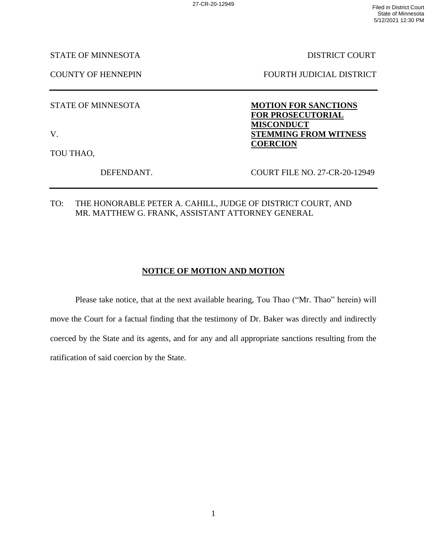STATE OF MINNESOTA DISTRICT COURT

COUNTY OF HENNEPIN FOURTH JUDICIAL DISTRICT

STATE OF MINNESOTA **MOTION FOR SANCTIONS** 

V. **STEMMING FROM WITNESS** 

TOU THAO,

DEFENDANT. COURT FILE NO. 27-CR-20-12949

**FOR PROSECUTORIAL** 

**MISCONDUCT**

**COERCION**

TO: THE HONORABLE PETER A. CAHILL, JUDGE OF DISTRICT COURT, AND MR. MATTHEW G. FRANK, ASSISTANT ATTORNEY GENERAL

## **NOTICE OF MOTION AND MOTION**

Please take notice, that at the next available hearing, Tou Thao ("Mr. Thao" herein) will move the Court for a factual finding that the testimony of Dr. Baker was directly and indirectly coerced by the State and its agents, and for any and all appropriate sanctions resulting from the ratification of said coercion by the State.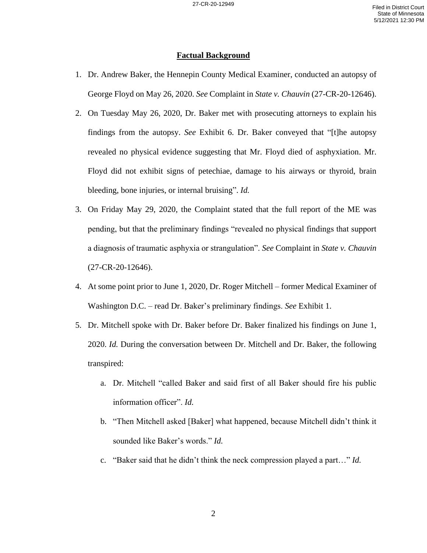## **Factual Background**

- 1. Dr. Andrew Baker, the Hennepin County Medical Examiner, conducted an autopsy of George Floyd on May 26, 2020. *See* Complaint in *State v. Chauvin* (27-CR-20-12646).
- 2. On Tuesday May 26, 2020, Dr. Baker met with prosecuting attorneys to explain his findings from the autopsy. *See* Exhibit 6. Dr. Baker conveyed that "[t]he autopsy revealed no physical evidence suggesting that Mr. Floyd died of asphyxiation. Mr. Floyd did not exhibit signs of petechiae, damage to his airways or thyroid, brain bleeding, bone injuries, or internal bruising". *Id.*
- 3. On Friday May 29, 2020, the Complaint stated that the full report of the ME was pending, but that the preliminary findings "revealed no physical findings that support a diagnosis of traumatic asphyxia or strangulation". *See* Complaint in *State v. Chauvin*  (27-CR-20-12646).
- 4. At some point prior to June 1, 2020, Dr. Roger Mitchell former Medical Examiner of Washington D.C. – read Dr. Baker's preliminary findings. *See* Exhibit 1.
- 5. Dr. Mitchell spoke with Dr. Baker before Dr. Baker finalized his findings on June 1, 2020. *Id.* During the conversation between Dr. Mitchell and Dr. Baker, the following transpired:
	- a. Dr. Mitchell "called Baker and said first of all Baker should fire his public information officer". *Id.*
	- b. "Then Mitchell asked [Baker] what happened, because Mitchell didn't think it sounded like Baker's words." *Id.*
	- c. "Baker said that he didn't think the neck compression played a part…" *Id.*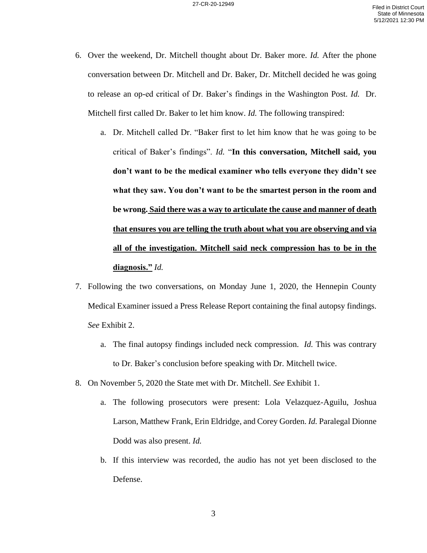- 6. Over the weekend, Dr. Mitchell thought about Dr. Baker more. *Id.* After the phone conversation between Dr. Mitchell and Dr. Baker, Dr. Mitchell decided he was going to release an op-ed critical of Dr. Baker's findings in the Washington Post. *Id.* Dr. Mitchell first called Dr. Baker to let him know. *Id.* The following transpired:
	- a. Dr. Mitchell called Dr. "Baker first to let him know that he was going to be critical of Baker's findings". *Id.* "**In this conversation, Mitchell said, you don't want to be the medical examiner who tells everyone they didn't see what they saw. You don't want to be the smartest person in the room and be wrong. Said there was a way to articulate the cause and manner of death that ensures you are telling the truth about what you are observing and via all of the investigation. Mitchell said neck compression has to be in the diagnosis."** *Id.*
- 7. Following the two conversations, on Monday June 1, 2020, the Hennepin County Medical Examiner issued a Press Release Report containing the final autopsy findings. *See* Exhibit 2.
	- a. The final autopsy findings included neck compression. *Id.* This was contrary to Dr. Baker's conclusion before speaking with Dr. Mitchell twice.
- 8. On November 5, 2020 the State met with Dr. Mitchell. *See* Exhibit 1.
	- a. The following prosecutors were present: Lola Velazquez-Aguilu, Joshua Larson, Matthew Frank, Erin Eldridge, and Corey Gorden. *Id.* Paralegal Dionne Dodd was also present. *Id.*
	- b. If this interview was recorded, the audio has not yet been disclosed to the Defense.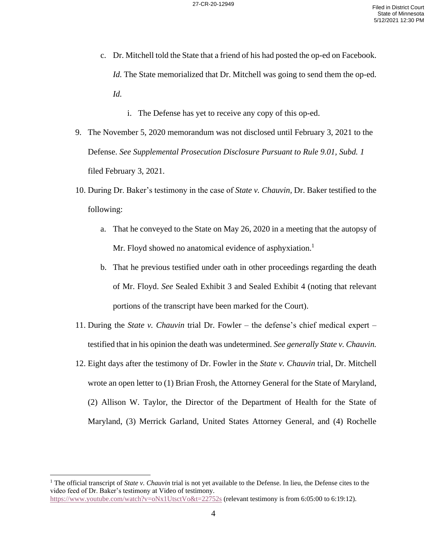- c. Dr. Mitchell told the State that a friend of his had posted the op-ed on Facebook. *Id.* The State memorialized that Dr. Mitchell was going to send them the op-ed. *Id.*
	- i. The Defense has yet to receive any copy of this op-ed.
- 9. The November 5, 2020 memorandum was not disclosed until February 3, 2021 to the Defense. *See Supplemental Prosecution Disclosure Pursuant to Rule 9.01, Subd. 1* filed February 3, 2021.
- 10. During Dr. Baker's testimony in the case of *State v. Chauvin,* Dr. Baker testified to the following:
	- a. That he conveyed to the State on May 26, 2020 in a meeting that the autopsy of Mr. Floyd showed no anatomical evidence of asphyxiation.<sup>1</sup>
	- b. That he previous testified under oath in other proceedings regarding the death of Mr. Floyd. *See* Sealed Exhibit 3 and Sealed Exhibit 4 (noting that relevant portions of the transcript have been marked for the Court).
- 11. During the *State v. Chauvin* trial Dr. Fowler the defense's chief medical expert testified that in his opinion the death was undetermined. *See generally State v. Chauvin.*
- 12. Eight days after the testimony of Dr. Fowler in the *State v. Chauvin* trial, Dr. Mitchell wrote an open letter to (1) Brian Frosh, the Attorney General for the State of Maryland, (2) Allison W. Taylor, the Director of the Department of Health for the State of Maryland, (3) Merrick Garland, United States Attorney General, and (4) Rochelle

<sup>1</sup> The official transcript of *State v. Chauvin* trial is not yet available to the Defense. In lieu, the Defense cites to the video feed of Dr. Baker's testimony at Video of testimony. <https://www.youtube.com/watch?v=oNx1UtsctVo&t=22752s> (relevant testimony is from 6:05:00 to 6:19:12).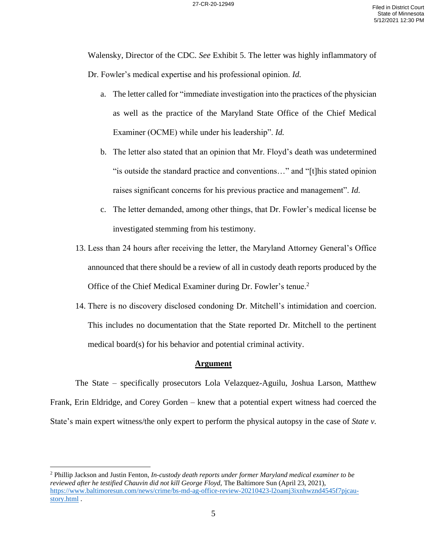Walensky, Director of the CDC. *See* Exhibit 5. The letter was highly inflammatory of Dr. Fowler's medical expertise and his professional opinion. *Id.* 

- a. The letter called for "immediate investigation into the practices of the physician as well as the practice of the Maryland State Office of the Chief Medical Examiner (OCME) while under his leadership". *Id.*
- b. The letter also stated that an opinion that Mr. Floyd's death was undetermined "is outside the standard practice and conventions…" and "[t]his stated opinion raises significant concerns for his previous practice and management". *Id.*
- c. The letter demanded, among other things, that Dr. Fowler's medical license be investigated stemming from his testimony.
- 13. Less than 24 hours after receiving the letter, the Maryland Attorney General's Office announced that there should be a review of all in custody death reports produced by the Office of the Chief Medical Examiner during Dr. Fowler's tenue.<sup>2</sup>
- 14. There is no discovery disclosed condoning Dr. Mitchell's intimidation and coercion. This includes no documentation that the State reported Dr. Mitchell to the pertinent medical board(s) for his behavior and potential criminal activity.

## **Argument**

The State – specifically prosecutors Lola Velazquez-Aguilu, Joshua Larson, Matthew Frank, Erin Eldridge, and Corey Gorden – knew that a potential expert witness had coerced the State's main expert witness/the only expert to perform the physical autopsy in the case of *State v.* 

<sup>2</sup> Phillip Jackson and Justin Fenton, *In-custody death reports under former Maryland medical examiner to be reviewed after he testified Chauvin did not kill George Floyd,* The Baltimore Sun (April 23, 2021), [https://www.baltimoresun.com/news/crime/bs-md-ag-office-review-20210423-l2oamj3ixnhwznd4545f7pjcau](https://www.baltimoresun.com/news/crime/bs-md-ag-office-review-20210423-l2oamj3ixnhwznd4545f7pjcau-story.html)[story.html](https://www.baltimoresun.com/news/crime/bs-md-ag-office-review-20210423-l2oamj3ixnhwznd4545f7pjcau-story.html) .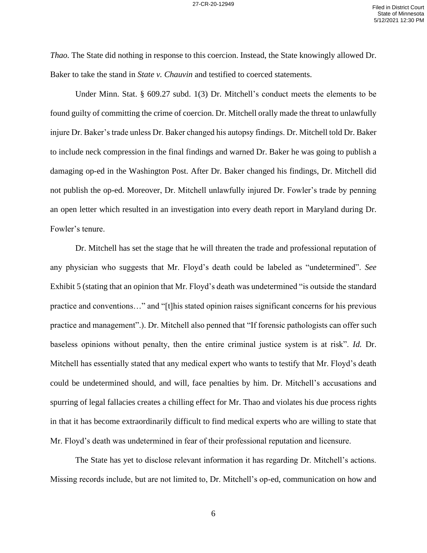*Thao.* The State did nothing in response to this coercion. Instead, the State knowingly allowed Dr. Baker to take the stand in *State v. Chauvin* and testified to coerced statements.

Under Minn. Stat. § 609.27 subd. 1(3) Dr. Mitchell's conduct meets the elements to be found guilty of committing the crime of coercion. Dr. Mitchell orally made the threat to unlawfully injure Dr. Baker's trade unless Dr. Baker changed his autopsy findings. Dr. Mitchell told Dr. Baker to include neck compression in the final findings and warned Dr. Baker he was going to publish a damaging op-ed in the Washington Post. After Dr. Baker changed his findings, Dr. Mitchell did not publish the op-ed. Moreover, Dr. Mitchell unlawfully injured Dr. Fowler's trade by penning an open letter which resulted in an investigation into every death report in Maryland during Dr. Fowler's tenure.

Dr. Mitchell has set the stage that he will threaten the trade and professional reputation of any physician who suggests that Mr. Floyd's death could be labeled as "undetermined". *See*  Exhibit 5 (stating that an opinion that Mr. Floyd's death was undetermined "is outside the standard practice and conventions…" and "[t]his stated opinion raises significant concerns for his previous practice and management".). Dr. Mitchell also penned that "If forensic pathologists can offer such baseless opinions without penalty, then the entire criminal justice system is at risk". *Id.* Dr. Mitchell has essentially stated that any medical expert who wants to testify that Mr. Floyd's death could be undetermined should, and will, face penalties by him. Dr. Mitchell's accusations and spurring of legal fallacies creates a chilling effect for Mr. Thao and violates his due process rights in that it has become extraordinarily difficult to find medical experts who are willing to state that Mr. Floyd's death was undetermined in fear of their professional reputation and licensure.

The State has yet to disclose relevant information it has regarding Dr. Mitchell's actions. Missing records include, but are not limited to, Dr. Mitchell's op-ed, communication on how and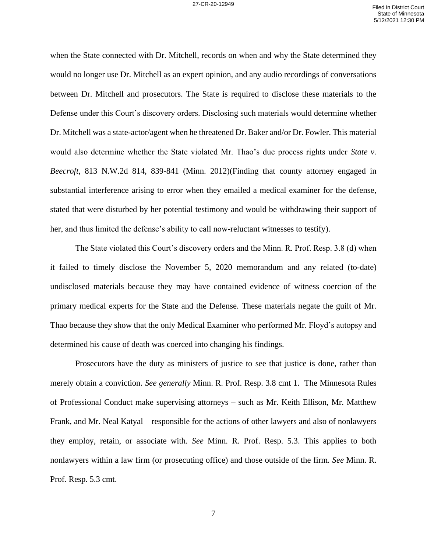when the State connected with Dr. Mitchell, records on when and why the State determined they would no longer use Dr. Mitchell as an expert opinion, and any audio recordings of conversations between Dr. Mitchell and prosecutors. The State is required to disclose these materials to the Defense under this Court's discovery orders. Disclosing such materials would determine whether Dr. Mitchell was a state-actor/agent when he threatened Dr. Baker and/or Dr. Fowler. This material would also determine whether the State violated Mr. Thao's due process rights under *State v. Beecroft,* 813 N.W.2d 814, 839-841 (Minn. 2012)(Finding that county attorney engaged in substantial interference arising to error when they emailed a medical examiner for the defense, stated that were disturbed by her potential testimony and would be withdrawing their support of her, and thus limited the defense's ability to call now-reluctant witnesses to testify).

The State violated this Court's discovery orders and the Minn. R. Prof. Resp. 3.8 (d) when it failed to timely disclose the November 5, 2020 memorandum and any related (to-date) undisclosed materials because they may have contained evidence of witness coercion of the primary medical experts for the State and the Defense. These materials negate the guilt of Mr. Thao because they show that the only Medical Examiner who performed Mr. Floyd's autopsy and determined his cause of death was coerced into changing his findings.

Prosecutors have the duty as ministers of justice to see that justice is done, rather than merely obtain a conviction. *See generally* Minn. R. Prof. Resp. 3.8 cmt 1. The Minnesota Rules of Professional Conduct make supervising attorneys – such as Mr. Keith Ellison, Mr. Matthew Frank, and Mr. Neal Katyal – responsible for the actions of other lawyers and also of nonlawyers they employ, retain, or associate with. *See* Minn. R. Prof. Resp. 5.3. This applies to both nonlawyers within a law firm (or prosecuting office) and those outside of the firm. *See* Minn. R. Prof. Resp. 5.3 cmt.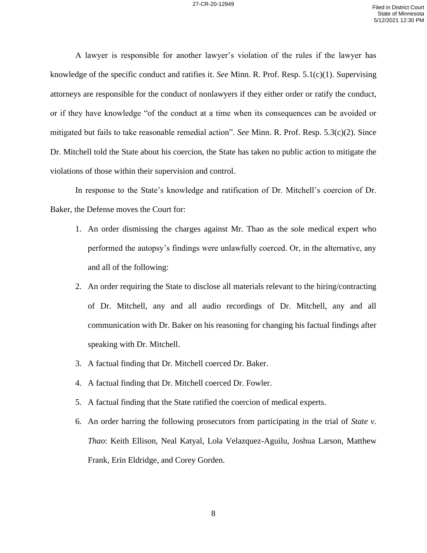A lawyer is responsible for another lawyer's violation of the rules if the lawyer has knowledge of the specific conduct and ratifies it. *See* Minn. R. Prof. Resp. 5.1(c)(1). Supervising attorneys are responsible for the conduct of nonlawyers if they either order or ratify the conduct, or if they have knowledge "of the conduct at a time when its consequences can be avoided or mitigated but fails to take reasonable remedial action". *See* Minn. R. Prof. Resp. 5.3(c)(2). Since Dr. Mitchell told the State about his coercion, the State has taken no public action to mitigate the violations of those within their supervision and control.

In response to the State's knowledge and ratification of Dr. Mitchell's coercion of Dr. Baker, the Defense moves the Court for:

- 1. An order dismissing the charges against Mr. Thao as the sole medical expert who performed the autopsy's findings were unlawfully coerced. Or, in the alternative, any and all of the following:
- 2. An order requiring the State to disclose all materials relevant to the hiring/contracting of Dr. Mitchell, any and all audio recordings of Dr. Mitchell, any and all communication with Dr. Baker on his reasoning for changing his factual findings after speaking with Dr. Mitchell.
- 3. A factual finding that Dr. Mitchell coerced Dr. Baker.
- 4. A factual finding that Dr. Mitchell coerced Dr. Fowler.
- 5. A factual finding that the State ratified the coercion of medical experts.
- 6. An order barring the following prosecutors from participating in the trial of *State v. Thao*: Keith Ellison, Neal Katyal, Lola Velazquez-Aguilu, Joshua Larson, Matthew Frank, Erin Eldridge, and Corey Gorden.